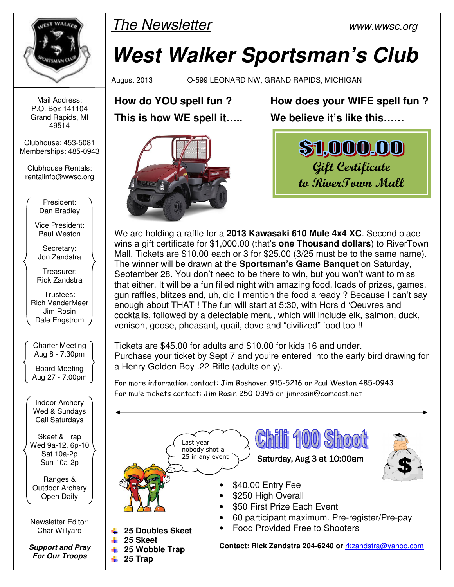

 $\mathbb{R}$  The Newsletter www.wwsc.org

# **West Walker Sportsman's Club**

August 2013 O-599 LEONARD NW, GRAND RAPIDS, MICHIGAN

**How do YOU spell fun ? This is how WE spell it…..** 



**How does your WIFE spell fun ? We believe it's like this……** 



We are holding a raffle for a **2013 Kawasaki 610 Mule 4x4 XC**. Second place wins a gift certificate for \$1,000.00 (that's **one Thousand dollars**) to RiverTown Mall. Tickets are \$10.00 each or 3 for \$25.00 (3/25 must be to the same name). The winner will be drawn at the **Sportsman's Game Banquet** on Saturday, September 28. You don't need to be there to win, but you won't want to miss that either. It will be a fun filled night with amazing food, loads of prizes, games, gun raffles, blitzes and, uh, did I mention the food already ? Because I can't say enough about THAT ! The fun will start at 5:30, with Hors d 'Oeuvres and cocktails, followed by a delectable menu, which will include elk, salmon, duck, venison, goose, pheasant, quail, dove and "civilized" food too !!

Tickets are \$45.00 for adults and \$10.00 for kids 16 and under. Purchase your ticket by Sept 7 and you're entered into the early bird drawing for a Henry Golden Boy .22 Rifle (adults only).

For more information contact: Jim Boshoven 915-5216 or Paul Weston 485-0943 For mule tickets contact: Jim Rosin 250-0395 or jimrosin@comcast.net

 $\mathbb{G}$ hīl Last year nobody shot a 25 in any event Saturday, Aug 3 at 10:00am l ļ \$40.00 Entry Fee  $\tilde{\zeta}$ \$250 High Overall \$50 First Prize Each Event • 60 participant maximum. Pre-register/Pre-pay • Food Provided Free to Shooters **25 Doubles Skeet 25 Skeet Contact: Rick Zandstra 204-6240 or** rkzandstra@yahoo.com ÷ **25 Wobble Trap <del>↓</del>** 25 Trap

Mail Address: P.O. Box 141104 Grand Rapids, MI 49514

Clubhouse: 453-5081 Memberships: 485-0943

Clubhouse Rentals: rentalinfo@wwsc.org

> President: Dan Bradley

Vice President: Paul Weston

Secretary: Jon Zandstra

Treasurer: Rick Zandstra

Trustees: Rich VanderMeer Jim Rosin Dale Engstrom

Charter Meeting Aug 8 - 7:30pm

Board Meeting Aug 27 - 7:00pm

Indoor Archery Wed & Sundays Call Saturdays

Skeet & Trap Wed 9a-12, 6p-10 Sat 10a-2p Sun 10a-2p

Ranges & Outdoor Archery Open Daily

Newsletter Editor: Char Willyard

**Support and Pray For Our Troops**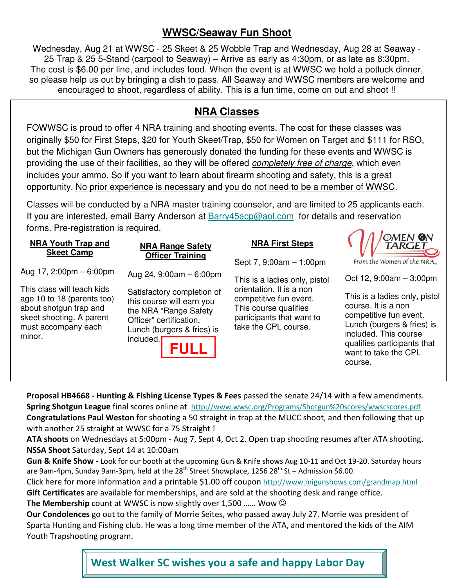#### **WWSC/Seaway Fun Shoot**

Wednesday, Aug 21 at WWSC - 25 Skeet & 25 Wobble Trap and Wednesday, Aug 28 at Seaway - 25 Trap & 25 5-Stand (carpool to Seaway) – Arrive as early as 4:30pm, or as late as 8:30pm. The cost is \$6.00 per line, and includes food. When the event is at WWSC we hold a potluck dinner, so please help us out by bringing a dish to pass. All Seaway and WWSC members are welcome and encouraged to shoot, regardless of ability. This is a fun time, come on out and shoot !!

#### **NRA Classes**

FOWWSC is proud to offer 4 NRA training and shooting events. The cost for these classes was originally \$50 for First Steps, \$20 for Youth Skeet/Trap, \$50 for Women on Target and \$111 for RSO, but the Michigan Gun Owners has generously donated the funding for these events and WWSC is providing the use of their facilities, so they will be offered completely free of charge, which even includes your ammo. So if you want to learn about firearm shooting and safety, this is a great opportunity. No prior experience is necessary and you do not need to be a member of WWSC.

Classes will be conducted by a NRA master training counselor, and are limited to 25 applicants each. If you are interested, email Barry Anderson at Barry45acp@aol.com for details and reservation forms. Pre-registration is required.  $\bigcap$   $\bigcap$   $\bigcap$   $\bigcap$ 

| <b>NRA Youth Trap and</b><br><b>Skeet Camp</b>                                                                                                  | <b>NRA Range Safety</b>                                                                                                                                               | <b>NRA First Steps</b>                                                                                                           | <b>CIVILIV MY</b><br>TARGET                                                                                                                                                                             |
|-------------------------------------------------------------------------------------------------------------------------------------------------|-----------------------------------------------------------------------------------------------------------------------------------------------------------------------|----------------------------------------------------------------------------------------------------------------------------------|---------------------------------------------------------------------------------------------------------------------------------------------------------------------------------------------------------|
|                                                                                                                                                 | <b>Officer Training</b>                                                                                                                                               | Sept 7, 9:00am - 1:00pm                                                                                                          | From the Women of the NRA.                                                                                                                                                                              |
| Aug 17, $2:00 \text{pm} - 6:00 \text{pm}$                                                                                                       | Aug 24, $9:00am - 6:00pm$                                                                                                                                             | This is a ladies only, pistol                                                                                                    | Oct 12, $9:00am - 3:00pm$                                                                                                                                                                               |
| This class will teach kids<br>age 10 to 18 (parents too)<br>about shotgun trap and<br>skeet shooting. A parent<br>must accompany each<br>minor. | Satisfactory completion of<br>this course will earn you<br>the NRA "Range Safety<br>Officer" certification.<br>Lunch (burgers & fries) is<br>included.<br><b>FULL</b> | orientation. It is a non<br>competitive fun event.<br>This course qualifies<br>participants that want to<br>take the CPL course. | This is a ladies only, pistol<br>course. It is a non<br>competitive fun event.<br>Lunch (burgers & fries) is<br>included. This course<br>qualifies participants that<br>want to take the CPL<br>course. |

**Proposal HB4668 - Hunting & Fishing License Types & Fees** passed the senate 24/14 with a few amendments. **Spring Shotgun League** final scores online at http://www.wwsc.org/Programs/Shotgun%20scores/wwscscores.pdf **Congratulations Paul Weston** for shooting a 50 straight in trap at the MUCC shoot, and then following that up with another 25 straight at WWSC for a 75 Straight !

**ATA shoots** on Wednesdays at 5:00pm - Aug 7, Sept 4, Oct 2. Open trap shooting resumes after ATA shooting. **NSSA Shoot** Saturday, Sept 14 at 10:00am

**Gun & Knife Show -** Look for our booth at the upcoming Gun & Knife shows Aug 10-11 and Oct 19-20. Saturday hours are 9am-4pm, Sunday 9am-3pm, held at the  $28<sup>th</sup>$  Street Showplace, 1256  $28<sup>th</sup>$  St – Admission \$6.00.

Click here for more information and a printable \$1.00 off coupon http://www.migunshows.com/grandmap.html **Gift Certificates** are available for memberships, and are sold at the shooting desk and range office.

**The Membership** count at WWSC is now slightly over 1,500 …… Wow ☺

**Our Condolences** go out to the family of Morrie Seites, who passed away July 27. Morrie was president of Sparta Hunting and Fishing club. He was a long time member of the ATA, and mentored the kids of the AIM Youth Trapshooting program.

**West Walker SC wishes you a safe and happy Labor Day**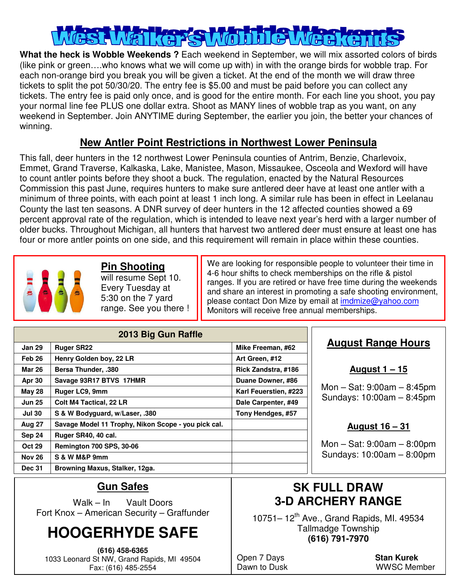**What the heck is Wobble Weekends ?** Each weekend in September, we will mix assorted colors of birds (like pink or green….who knows what we will come up with) in with the orange birds for wobble trap. For each non-orange bird you break you will be given a ticket. At the end of the month we will draw three tickets to split the pot 50/30/20. The entry fee is \$5.00 and must be paid before you can collect any tickets. The entry fee is paid only once, and is good for the entire month. For each line you shoot, you pay your normal line fee PLUS one dollar extra. Shoot as MANY lines of wobble trap as you want, on any weekend in September. Join ANYTIME during September, the earlier you join, the better your chances of winning.

#### **New Antler Point Restrictions in Northwest Lower Peninsula**

This fall, deer hunters in the 12 northwest Lower Peninsula counties of Antrim, Benzie, Charlevoix, Emmet, Grand Traverse, Kalkaska, Lake, Manistee, Mason, Missaukee, Osceola and Wexford will have to count antler points before they shoot a buck. The regulation, enacted by the Natural Resources Commission this past June, requires hunters to make sure antlered deer have at least one antler with a minimum of three points, with each point at least 1 inch long. A similar rule has been in effect in Leelanau County the last ten seasons. A DNR survey of deer hunters in the 12 affected counties showed a 69 percent approval rate of the regulation, which is intended to leave next year's herd with a larger number of older bucks. Throughout Michigan, all hunters that harvest two antlered deer must ensure at least one has four or more antler points on one side, and this requirement will remain in place within these counties.



#### **Pin Shooting**

will resume Sept 10. Every Tuesday at 5:30 on the 7 yard range. See you there ! We are looking for responsible people to volunteer their time in 4-6 hour shifts to check memberships on the rifle & pistol ranges. If you are retired or have free time during the weekends and share an interest in promoting a safe shooting environment, please contact Don Mize by email at imdmize@yahoo.com Monitors will receive free annual memberships.

| 2013 Big Gun Raffle |                                                     |                       |  |  |  |
|---------------------|-----------------------------------------------------|-----------------------|--|--|--|
| <b>Jan 29</b>       | <b>Ruger SR22</b>                                   | Mike Freeman, #62     |  |  |  |
| Feb <sub>26</sub>   | Henry Golden boy, 22 LR                             | Art Green, #12        |  |  |  |
| Mar 26              | <b>Bersa Thunder, .380</b>                          | Rick Zandstra, #186   |  |  |  |
| <b>Apr 30</b>       | Savage 93R17 BTVS 17HMR                             | Duane Downer, #86     |  |  |  |
| <b>May 28</b>       | Ruger LC9, 9mm                                      | Karl Feuerstien, #223 |  |  |  |
| <b>Jun 25</b>       | <b>Colt M4 Tactical, 22 LR</b>                      | Dale Carpenter, #49   |  |  |  |
| <b>Jul 30</b>       | S & W Bodyguard, w/Laser, .380                      | Tony Hendges, #57     |  |  |  |
| <b>Aug 27</b>       | Savage Model 11 Trophy, Nikon Scope - you pick cal. |                       |  |  |  |
| Sep 24              | Ruger SR40, 40 cal.                                 |                       |  |  |  |
| <b>Oct 29</b>       | <b>Remington 700 SPS, 30-06</b>                     |                       |  |  |  |
| <b>Nov 26</b>       | S & W M&P 9mm                                       |                       |  |  |  |
| <b>Dec 31</b>       | Browning Maxus, Stalker, 12ga.                      |                       |  |  |  |

#### **August Range Hours**

**August 1 – 15**

Mon – Sat: 9:00am – 8:45pm Sundays: 10:00am – 8:45pm

#### **August 16 – 31**

Mon – Sat: 9:00am – 8:00pm Sundays: 10:00am – 8:00pm

#### **Gun Safes**

Walk – In Vault Doors Fort Knox – American Security – Graffunder

## **HOOGERHYDE SAFE**

**(616) 458-6365**  1033 Leonard St NW, Grand Rapids, MI 49504 Fax: (616) 485-2554

### **SK FULL DRAW 3-D ARCHERY RANGE**

10751– 12th Ave., Grand Rapids, MI. 49534 Tallmadge Township **(616) 791-7970** 

Open 7 Days **Stan Kurek**

Dawn to Dusk WWSC Member